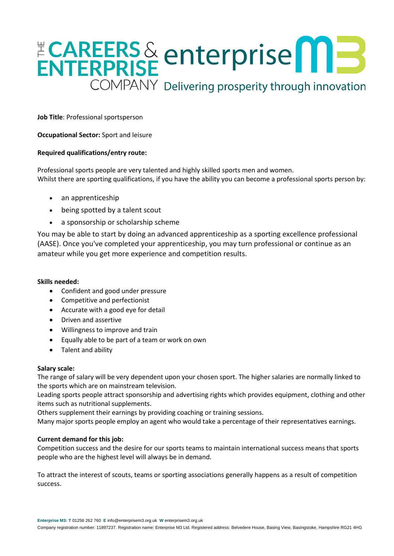# ENTERPRISE enterprise<sup>ns</sup> COMPANY Delivering prosperity through innovation

**Job Title**: Professional sportsperson

**Occupational Sector:** Sport and leisure

### **Required qualifications/entry route:**

Professional sports people are very talented and highly skilled sports men and women. Whilst there are sporting qualifications, if you have the ability you can become a professional sports person by:

- an apprenticeship
- being spotted by a talent scout
- a sponsorship or scholarship scheme

You may be able to start by doing an advanced apprenticeship as a sporting excellence professional (AASE). Once you've completed your apprenticeship, you may turn professional or continue as an amateur while you get more experience and competition results.

#### **Skills needed:**

- Confident and good under pressure
- Competitive and perfectionist
- Accurate with a good eye for detail
- Driven and assertive
- Willingness to improve and train
- Equally able to be part of a team or work on own
- Talent and ability

#### **Salary scale:**

The range of salary will be very dependent upon your chosen sport. The higher salaries are normally linked to the sports which are on mainstream television.

Leading sports people attract sponsorship and advertising rights which provides equipment, clothing and other items such as nutritional supplements.

Others supplement their earnings by providing coaching or training sessions.

Many major sports people employ an agent who would take a percentage of their representatives earnings.

# **Current demand for this job:**

Competition success and the desire for our sports teams to maintain international success means that sports people who are the highest level will always be in demand.

To attract the interest of scouts, teams or sporting associations generally happens as a result of competition success.

**Enterprise M3: T** 01256 262 760 **E** [info@enterprisem3.org.uk](mailto:info@enterprisem3.org.uk) **W** enterprisem3.org.uk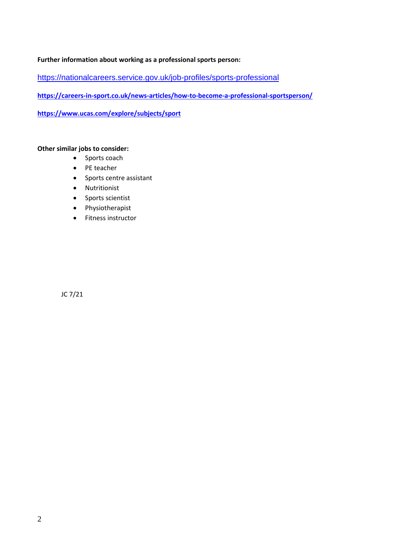## **Further information about working as a professional sports person:**

<https://nationalcareers.service.gov.uk/job-profiles/sports-professional>

**<https://careers-in-sport.co.uk/news-articles/how-to-become-a-professional-sportsperson/>**

**<https://www.ucas.com/explore/subjects/sport>**

# **Other similar jobs to consider:**

- Sports coach
- PE teacher
- Sports centre assistant
- Nutritionist
- Sports scientist
- Physiotherapist
- Fitness instructor

JC 7/21